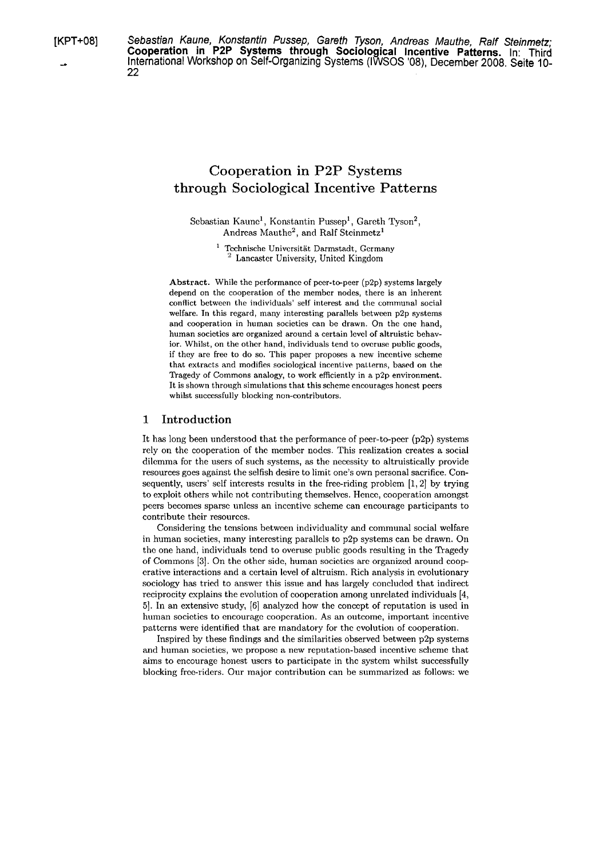[KPT+08] Sebastian Kaune, Konstantin Pussep, Gareth Tyson, Andreas Mauthe, Ralf Steinmetz; **Cooperation in P2P Systems through Sociological Incentive Patterns.** In: Third<br>International Workshop on Self-Organizing Systems (IWSOS '08), December 2008. Seite 10-22

# Cooperation in P2P Systems through Sociological Incentive Patterns

Sebastian Kaunc<sup>1</sup>, Konstantin Pussep<sup>1</sup>, Gareth Tyson<sup>2</sup>, Andreas Mauthe<sup>2</sup>, and Ralf Steinmetz<sup>1</sup>

> <sup>1</sup> Technische Universität Darmstadt, Germany Lancaster University, United Kingdom

Abstract. While the performance of pcer-to-peer  $(p2p)$  systems largely depend on the cooperation of thc membcr nodes, there is an inherent conflict between the individuals' self interest and the communal social welfare. In this regard, many intercsting parallels between p2p systems and cooperation in human socictics can be drawn. On thc one hand, human societies are organized around a certain level of altruistic behavior. Whilst, on the other hand, individuals tend to ovcruse public goods, if they are free to do so. This paper proposes a new incentive scheme that extracts and modifies sociological incentive patterns, based on the Tragedy of Commons analogy, to work efficiently in a p2p environment. It is shown through simulations that this scheme cncourages honest peers whilst succcssfully blocking non-contributors.

# 1 Introduction

It has long been understood that the performance of peer-to-peer  $(p2p)$  systems rely on the cooperation of the member nodes. This realization creates a social dilemma for the users of such systems, as the necessity to altruistically provide resources goes against the selfish desire to limit one's own personal sacrifice. Consequently, users' self interests results in the free-riding problem [1, 2] by trying to exploit others while not contributing themselves. Hence, cooperation amongst pccrs bccomcs sparsc unless an inccntivc scheme can cncourage participants to contribute their resourccs.

Considering the tensions between individuality and communal social welfare in human societies, many interesting parallels to p2p systems can be drawn. On the one hand, individuals tend to overuse public goods resulting in the Tragedy of Commons [3]. On the othcr side, human socictics are organizcd around coopcrativc interactions and a certain level of altruism. Rich analysis in cvolutionary sociology has tried to answer this issue and has largely concluded that indirect reciprocity explains the evolution of cooperation among unrelated individuals [4, **51.** In an extcnsivc stucly, 161 analyzcd how the conccpt of rcputation is used in human societies to encourage cooperation. As an outcome, important incentive patterns were identified that are mandatory for the evolution of cooperation.

Inspired by these findings and the similarities observed between p2p systems and human societies, we propose a new reputation-based incentive scheme that aims to encouragc honest uscrs to participate in thc systcm whilst successfully blocking free-riders. Our major contribution can be summarized as follows: we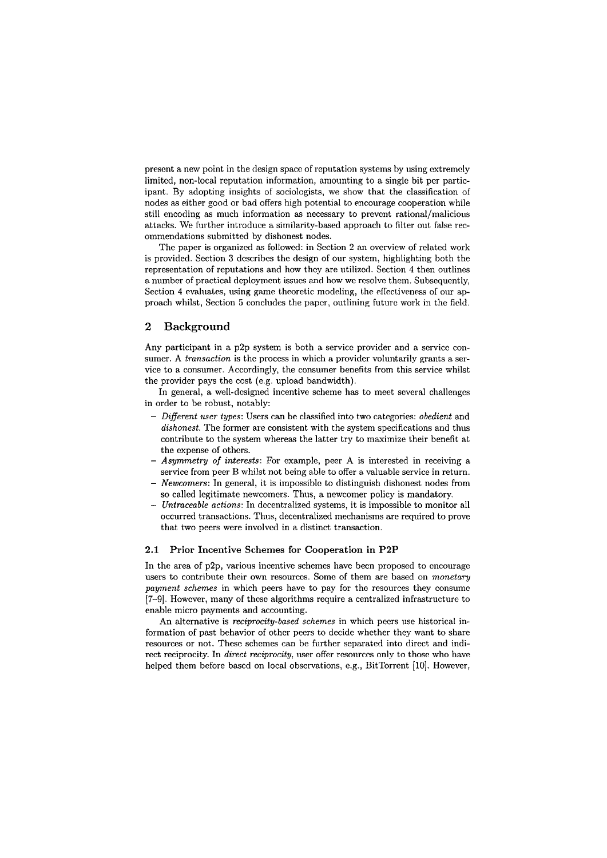prescnt a new point in the design spacc of rcputation systcms by using cxtremcly limited, non-local reputation information, amounting to a single bit per participant. By adopting insights of sociologists, we show that the classification of nodes **ns** either good or bad offers high potential to encourage cooperation while still encoding as much information as necessary to prevent rational/malicious attacks. We further introduce a similarity-based approach to filter out false recommendations submitted by dishonest nodes.

The paper is organized **as** followed: in Section 2 an overvicw of related work is provided. Section **3** dcscribes the design of our system, highlighting both the representation of reputations and how they are utilized. Section 4 then outlines a number of practical deployment issues and how we resolve them. Subsequently, Section 4 evaluates, using game theoretic modeling, the effectiveness of our approach whilst, Section 5 concludes the paper, outlining future work in the field.

# **2 Background**

Any participant in a p2p system is both a service provider and a service consumer. A *transaction* is the process in which a provider voluntarily grants a service to a consumer. Accordingly, the consumer benefits from this service whilst the provider pays the cost (e.g. upload bandwidth).

In general, a well-designed incentive scheme has to meet several challenges in order to be robust, notably:

- $-$  Different user types: Users can be classified into two categories: obedient and dishonest. The former are consistent with the system specifications and thus contribute to the system whereas the latter try to maximize their benefit at the expense of others.
- Asymmetry of interests: For example, peer A is interested in receiving a service from peer B whilst not being able to offer a valuable service in return. - Newcomers: In general, it is impossible to distinguish dishonest nodes from
- so called legitimate newcomers. Thus, a newcomer policy is mandatory.
- Untraceable actions: In decentralized systems, it is impossible to monitor all occurred transactions. Thus, decentralized mechanisms are required to prove that two peers were involved in a distinct transaction.

### 2.1 Prior Incentive Schemes for Cooperation in P2P

In the area of p2p, various incentive schemes have becn proposcd to cncouragc users to contribute their own resources. Some of them are based on monetary payment schemes in which peers have to pay for the resources they consume [7-91. Howcvcr, many of thcsc algorithms require a centralized infrastructurc to enable micro payments and accounting.

An alternative is *reciprocity-based schemes* in which peers use historical information of past behavior of other peers to decide whether they want to share resources or not. These schemes can be further separated into direct and indirect reciprocity. In direct reciprocity, user offer resources only to those who have helped them before based on local observations, e.g., BitTorrent [10]. However,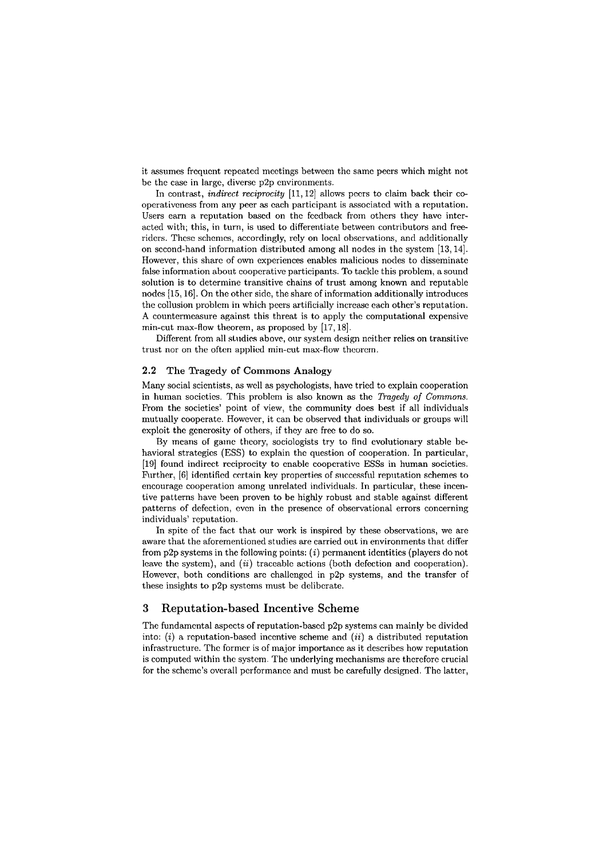it assumes frcqucnt rcpeatcd mcctings between thc Same pecrs which might not be the case in largc, diverse p2p cnvironments.

In contrast, *indirect reciprocity*  $[11, 12]$  allows pccrs to claim back their cooperativeness from any peer as each participant is associated with a reputation. Users earn a reputation based on the feedback from others they have interacted with; this, in turn, is used to differentiate between contributors and freeridcrs. Thcsc schemcs, accordingly, rely on local obscrvations, and additionally on sccond-hand information distributcd among all nodes in thc systcm [13,14]. However, this share of own experiences enables malicious nodes to disseminate false information about cooperative participants. To tackle this problem, a sound solution is to determine transitive chains of trust among known and reputable nodes [15,16]. On the other side, the share of information additionally introduces the collusion probleni in which peers artificially increase each othcr's reputation. **A** countermeasure against this threat is to apply thc computational expensive min-cut max-flow theorem, as proposed by [17,18].

Different from all studies above, our system design neither relies on transitive trust nor on the often applicd min-cut max-flow theorcm.

#### **2.2 The Tragedy of Commons Analogy**

Many social scientists, as wcll as psychologists, havc tried to explain cooperation in human societies. This problem is also known **as** the Tragedy of Commons. From the societies' point of view, the community does best if all individuals mutually cooperate. However, it can be observed that individuals or groups will exploit the generosity of others, if they are free to do so.

By means of gainc theory, sociologists try to find evolutionary stable behavioral strategics (ESS) to explain thc question of cooperation. In particular, [19] found indirect rcciprocity to cnable cooperative ESSs in human societies. Further, [6] identified certain key properties of successful reputation schemes to encourage cooperation among unrelated individuals. In particular, these incentive patterns have been proven to be highly robust and stable against different patterns of defection, cvcn in the presence of observational crrors concerning individuals' reputation.

In spite of thc fact that our work is inspircd by these observations, we are aware that the aforementioned studies are carried out in environments that differ from  $p2p$  systems in the following points:  $(i)$  permanent identities (players do not leave the system), and (ii) traceable actions (both defection and cooperation). Howcvcr, both conditions arc challcngcd in p2p systems, and the transfer of these insights to p2p systems must be deliberate.

#### **3 Reputation-based Incentive Scheme**

The fundamcntal aspccts of reputation-bascd p2p systems can mainly be divided into:  $(i)$  a reputation-based incentive scheme and  $(ii)$  a distributed reputation infrastructure. The former is of major importance as it describes how reputation is computed within the system. The underlying mechanisms are therefore crucial for the scheme's overall performance and must be carefully designed. The latter,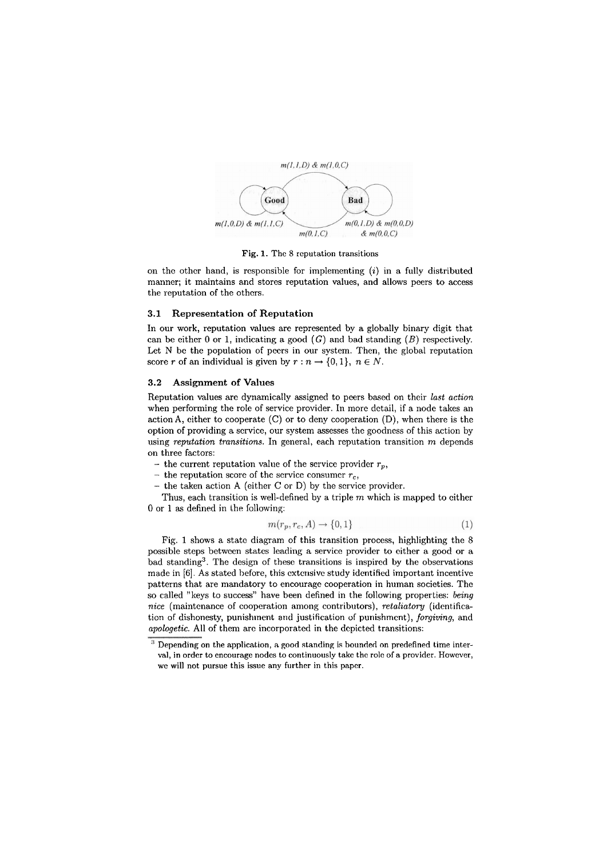

**Fig.** 1. The 8 rcputation transitions

on thc othcr hand, is rcsponsible for implementing *(i)* in a fully distributed manner; it maintains and Stores reputation values, and allows peers to access the reputation of the others.

# **3.1 Representation of Reputation**

In our work, reputation valucs are represented by a globally binary digit that can be either 0 or 1, indicating a good  $(G)$  and bad standing  $(B)$  respectively. Let N be the population of pecrs in our system. Then, the global reputation score *r* of an individual is given by  $r : n \to \{0, 1\}$ ,  $n \in N$ .

# **3.2 Assignment of Values**

Reputation values are dynamically assigned to peers based on their *last action*  when performing the role of service provider. In more detail, if a node takes an action A, either to cooperate  $(C)$  or to deny cooperation  $(D)$ , when there is the option of providing a service, our system assesses the goodness of this action by using *reputation transitions.* In general, each reputation transition m depends on three factors:

- the current reputation value of the service provider  $r_p$ ,
- the reputation score of the service consumer  $r_c$ ,
- the taken action A (either C or D) by the service provider.

Thus, each transition is well-defined by a triple  $m$  which is mapped to either 0 or 1 as defined in the following:

$$
n(r_p, r_c, A) \rightarrow \{0, 1\} \tag{1}
$$

Fig. 1 shows a statc diagram of this transition process, highlighting the 8 possible steps betwecn states leading a service provider to cither a good or a bad standing3. The design of thesc transitions is inspired by the observations made in [6]. As stated before, this extensive study identified important incentive patterns that are mandatory to encouragc cooperation in human societies. The so called "keys to success" have been defined in the following properties: *being nice* (maintenance of cooperation among contributors), *retaliatory* (identification of dishonesty, punishment and justification of punishment), *forgiving*, and *apologetic.* All of them arc incorporated in the dcpicted transitions:

Depending on the application, **a** good standing is bounded on predefined time interval, in order to encourage nodes to continuously take the role of a provider. However, wc will not pursue this issue any further in this Paper.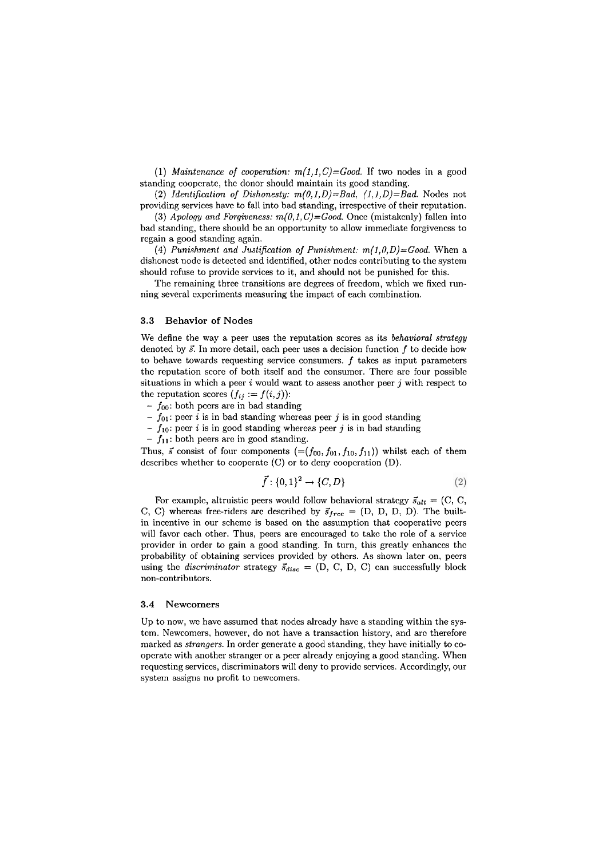*(1) Maintenance* of *cooperation: m(l,l,C)=Good.* If two nodes in a good standing coopcratc, thc donor should maintain its good standing.

**(2)** *Identification of Dishonesty: m(O,l,D)=Bad. (1,1,D)=Bad.* Nodes not providing serviccs havc to fall into bad standing, irrcspcctive of their rcputation.

(3) *Apology and Forgiveness:*  $m(0,1,C) = Good$ . Once (mistakenly) fallen into bad standing, there should bc an opportunity to allow immediate forgivencss to regain a good standing again.

(4) Punishment and Justification of Punishment:  $m(1,0,D) = Good$ . When a dishonest node is detected and identified, other nodes contributing to the system should rcfuse to providc scrvices to it, and should not be punished for this.

The remaining three transitions are degrees of freedom, which we fixed running several experiments measuring the impact of each combination.

#### 3.3 Behavior of Nodes

We define the way a peer uses the reputation scores as its *behavioml strategy*  denoted by  $\vec{s}$ . In more detail, each peer uses a decision function f to decide how to behave towards requesting service consumers.  $f$  takes as input parameters thc reputation scorc of both itself and the consumcr. There arc four possible situations in which a peer  $i$  would want to assess another peer  $j$  with respect to the reputation scores  $(f_{ij} := f(i, j))$ :

- $f_{00}$ : both pccrs are in bad standing
- $f_{01}$ : peer *i* is in bad standing whereas peer *j* is in good standing  $f_{01}$ : peer *i* is in bad standing whereas peer *j* is in good standing
- $-f_{10}$ : peer *i* is in good standing whereas peer *j* is in bad standing
- $-f_{11}$ : both peers arc in good standing.

Thus,  $\vec{s}$  consist of four components  $(=(f_{00}, f_{01}, f_{10}, f_{11}))$  whilst each of them describes whether to cooperate (C) or to deny cooperation (D).

$$
\vec{f}: \{0,1\}^2 \to \{C,D\} \tag{2}
$$

For example, altruistic peers would follow behavioral strategy  $\vec{s}_{alt} = (C, C,$ C, C) whereas free-riders are described by  $\vec{s}_{free} = (D, D, D, D)$ . The builtin inccntive in our schemc is based on the assumption that cooperativc pccrs will favor cach other. Thus, peers are encouraged to take the role of a service provider in order to gain a good standing. In turn, this greatly enhances the probability of obtaining services provided by others. As shown later on, peers using the *discriminator* strategy  $\vec{s}_{disc} = (D, C, D, C)$  can successfully block non-contributors.

# 3.4 Newcomers

Up to now, wc havc assumcd that nodes alrcady have a standing within the systcm. Newcomers, howevcr, do not have a transaction history, and arc thereforc marked as *strangers*. In order generate a good standing, they have initially to coopcratc with another strangcr or a peer already enjoying a good standing. When requesting services, discriminators will deny to provide services. Accordingly, our system assigns no profit to newcomers.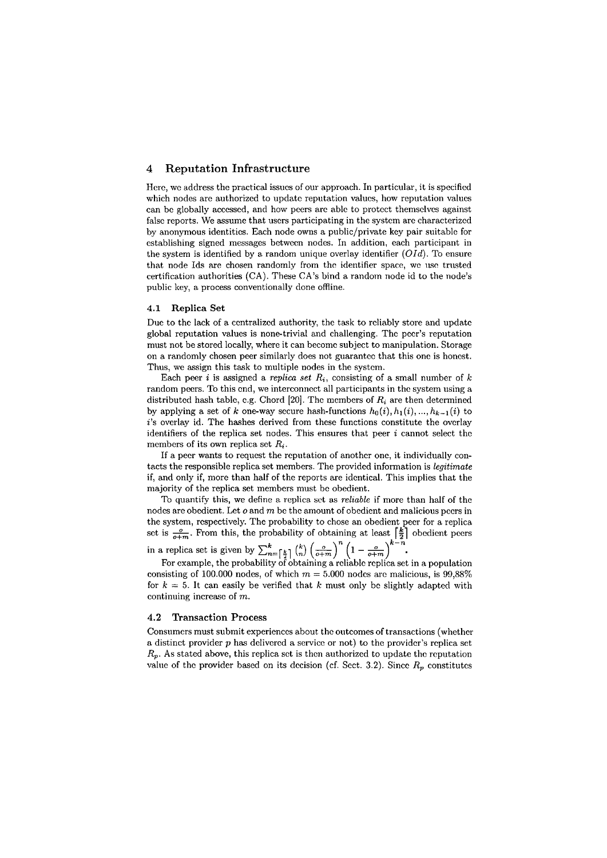# **4 Reputation Infrastructure**

Here, we address the practical issues of our approach. In particular, it is specified which nodes are authorized to update reputation values, how reputation values can be globally accessed, and how peers are able to protect themselves against false reports. We assume that users participating in the system are characterized by anonymous identities. Each node owns a public/private key pair suitable for cstablishing signed messages betwcen nodes. In addition, each participant in the system is identified by a random unique overlay identifier *(OId).* To ensure that node Ids are chosen randomly from the identifier space, we use trusted certification authorities (CA). These CA's bind a random node id to the node's public key, a process conventionally done offline.

#### **4.1 Replica Set**

Due to the lack of a centralized authority, the task to reliably store and update global reputation valucs is none-trivial and challenging. Thc pccr's reputation must not be stored locally, whcre it can becomc subject to manipulation. Storage on a randomly chosen peer similarly does not guarantcc that this onc is honest. Thus, we assign this task to multiple nodes in the systcm.

Each peer *i* is assigned a *replica set*  $R_i$ , consisting of a small number of k random peers. To this end, we interconnect all participants in the system using a distributed hash table, e.g. Chord  $[20]$ . The members of  $R_i$  are then determined by applying a set of k one-way secure hash-functions  $h_0(i)$ ,  $h_1(i)$ , ...,  $h_{k-1}(i)$  to i's overlay id. The hashes derived from these functions constitute the overlay identifiers of the replica set nodes. This ensures that peer *i* cannot select thc members of its own replica set  $R_i$ .

If a peer wants to request the reputation of another one, it individually contacts the responsible replica set members. The provided information is *legitimste*  if, and only if, more than half of the reports are identical. This implies that the majority of the replica set members must bc obedient.

To quantify this, we define a replica sct as *reliable* if more than half of the nodes are obedient. Let  $o$  and  $m$  be the amount of obedient and malicious pccrs in the system, rcspectively. Thc probability to chose an obedient pecr for a replica set is  $\frac{\sigma}{\sigma+m}$ . From this, the probability of obtaining at least  $\left[\frac{k}{2}\right]$  obedient pecrs k-n the system, respectively. The probability to chose an obedient peer for a replica<br>set is  $\frac{\sigma}{\sigma+m}$ . From this, the probability of obtaining at least  $\left[\frac{k}{2}\right]$  obedient peers<br>in a replica set is given by  $\sum_{n=\left[\frac{k}{2}\$ 

consisting of 100.000 nodes, of which  $m = 5.000$  nodes arc malicious, is 99,88% for  $k = 5$ . It can easily be verified that k must only be slightly adapted with continuing increase of m.

# **4.2 Transaction Process**

Consumers must submit experiences about the outcomes of transactions (whether a distinct provider  $p$  has delivered a service or not) to the provider's replica set  $R_p$ . As stated above, this replica sct is then authorized to update the reputation value of the provider based on its decision (cf. Sect. 3.2). Since  $R_p$  constitutes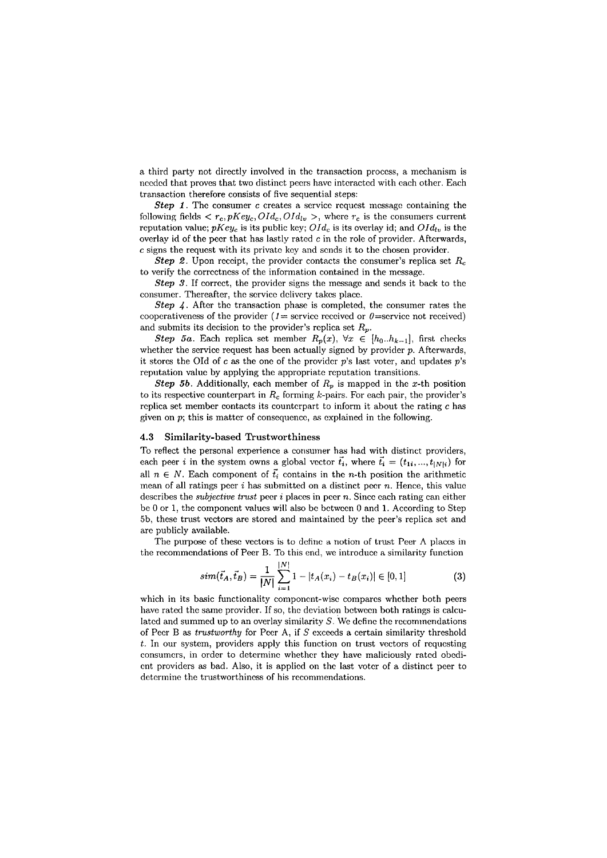a third party not directly involved in the transaction process, a mechanism is needed that proves that two distinct peers have interacted with each other. Each transaction therefore consists of five sequential steps:

**Step 1.** The consumer *c* creates a service request message containing the following fields  $\langle r_c, pKey_c, OId_c, OId_{lv} \rangle$ , where  $r_c$  is the consumers current reputation value;  $pKey_c$  is its public key;  $OId_c$  is its overlay id; and  $OId_{ln}$  is the overlay id of the peer that has lastly rated  $c$  in the role of provider. Afterwards, *c* signs the request with its private key and sends it to the chosen provider.

Step 2. Upon rcccipt, the provider contacts thc consumer's replica sct *R,*  to verify the corrcctncss of the inforination containcd in the messagc.

Step **3.** If correct, the provider signs the message and sends it back to thc consumer. Thereafter, the service delivery takes place.

Step 4. After the transaction phase is completed, the consumer rates the cooperativeness of the provider ( $1 =$  service received or  $0 =$  service not received) and submits its decision to the provider's replica set  $R_p$ .

Step 5a. Each replica set member  $R_p(x)$ ,  $\forall x \in [h_0 \dots h_{k-1}]$ , first checks whether the service request has been actually signed by provider  $p$ . Afterwards, it stores the OId of  $c$  as the one of the provider  $p$ 's last voter, and updates  $p$ 's reputation value by applying the appropriate reputation transitions.

Step 5b. Additionally, each member of  $R_p$  is mapped in the x-th position to its respective counterpart in  $R_c$  forming  $k$ -pairs. For each pair, the provider's rcplica set member contacts its countcrpart to inform it about the rating **c** has given on  $p$ ; this is matter of consequence, as explained in the following.

#### 4.3 Similarity-based Trustworthiness

To reflect the personal experience a consumer has had with distinct providers, each peer *i* in the system owns a global vector  $\vec{t}_i$ , where  $\vec{t}_i = (t_{1i},...,t_{|N|i})$  for all  $n \in N$ . Each component of  $\vec{t}_i$  contains in the *n*-th position the arithmetic mean of all ratings peer  $i$  has submitted on a distinct peer  $n$ . Hence, this value describes the *subjective trust* peer *i* places in pccr *n*. Since each rating can either be 0 or 1, the component values will also be between 0 and 1. According to Step 5b, these trust vcctors are stored and maintained by the peer's replica sct and arc publicly available.

The purpose of thesc vectors is to dcfinc **a** notion of trust Peer **A** placcs in the recommcndations of Peer B. To this end, we introducc a similarity function

$$
sim(\vec{t}_A, \vec{t}_B) = \frac{1}{|N|} \sum_{i=1}^{|N|} 1 - |t_A(x_i) - t_B(x_i)| \in [0, 1]
$$
 (3)

which in its basic functionality component-wise compares whether both peers have rated the same provider. If so, the deviation between both ratings is calculated and summed up to an overlay similarity  $S$ . We define the recommendations of Pecr B as trustworthy for Peer A, if  $S$  exceeds a certain similarity threshold *t.* In our system, providers apply this function on trust vectors of requesting consumers, in order to determine whether they have maliciously rated obedicnt providers as bad. Also, it is applicd on thc last votcr of a distinct pcer to determine the trustworthiness of his recommendations.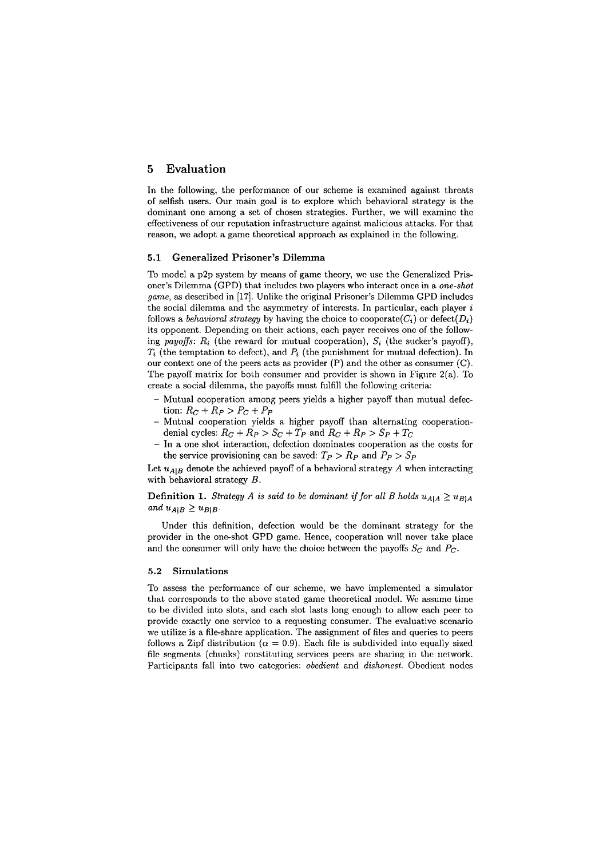# **5 Evaluation**

In the following, the performance of our scheme is examincd against threats of selfish Users. Our main goal is to explore which behavioral strategy is the dominant one among a set of chosen strategies. Further, we will examine the cffcct.iveness of our rcputation infrastructure against malicious attacks. For that reason, we adopt a game theoretical approach as explained in the following.

# **5.1 Generalized Prisoner's Dilemma**

To model a p2p system by means of game theory, we use the Generalized Prisoncr's Dilemma (GPD) that includcs two playcrs who intcract once in a *one-shot game, as described in* [17]. Unlike the original Prisoner's Dilemma GPD includes the social dilemma and the asymmetry of interests. In particular, each player *i* follows a *behavioral strategy* by having the choice to coopcrate( $C_i$ ) or defect( $D_i$ ) its opponent. Depending on their actions, each payer receives one of the following *payoffs*:  $R_i$  (the reward for mutual cooperation),  $S_i$  (the sucker's payoff),  $T_i$  (the temptation to defect), and  $P_i$  (the punishment for mutual defection). In our context one of the peers acts as provider (P) and the other as consumer (C). The payoff matrix for both consumer and provider is shown in Figure 2(a). To create a social dilemma, the payoffs must fulfill the following criteria:

- Mutual cooperation among peers yields a higher payoff than mutual defection:  $R_C + R_P > P_C + P_P$
- Mutual cooperation yields a higher payoff than alternating cooperationdenial cycles:  $R_C + R_P > S_C + T_P$  and  $R_C + R_P > S_P + T_C$
- In a one shot interaction, defection dominates cooperation as the costs for the service provisioning can be saved:  $T_P > R_P$  and  $P_P > S_P$

Let  $u_{A|B}$  denote the achieved payoff of a behavioral strategy  $A$  when interacting with behavioral strategy B.

**Definition 1.** *Strategy A is said to be dominant if for all B holds*  $u_{A|A} \geq u_{B|A}$  $and u_{A|B} \geq u_{B|B}$ .

Under this definition, defection would be the dominant strategy for the provider in the one-shot GPD game. Hence, cooperation will never take place and the consumer will only have the choice between the payoffs  $S_C$  and  $P_C$ .

#### **5.2 Simulations**

To nssess thc pcrformancc of our schemc, we havc implcmcnted a simulator that corresponds to thc abovc stated game theoretical model. Wc assumc time to be divided into slots, and each slot lasts long enough to allow each peer to providc cxactly onc scrvicc to a rcqucsting consumer. The cvaluativc sccnario we utilize is a file-share application. The assignment of files and queries to peers follows a Zipf distribution ( $\alpha = 0.9$ ). Each file is subdivided into equally sized file segments (chunks) constituting services peers are sharing in the network. Participants fall into two categories: *obedient* and *dishonest*. Obedient nodes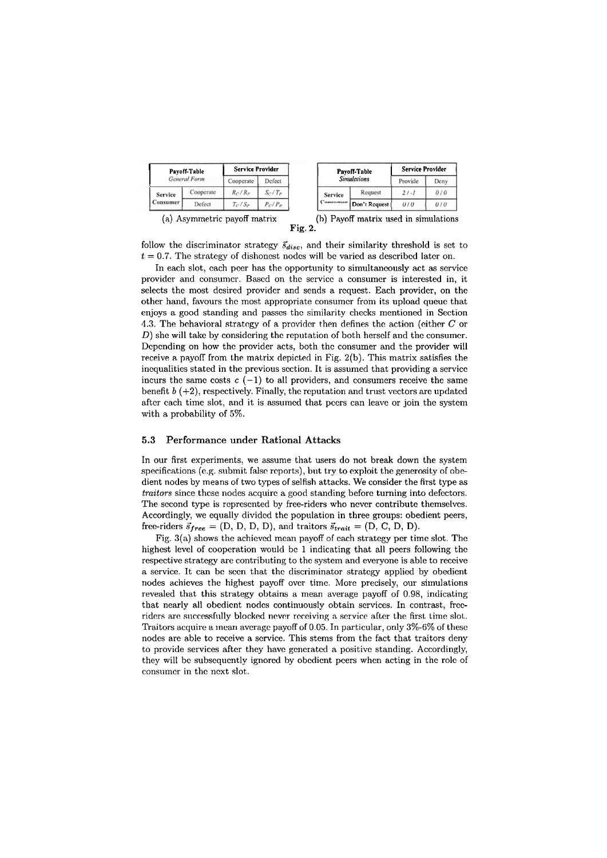| Payoff-Table<br><b>General Form</b> |           | <b>Service Provider</b> |           |  |
|-------------------------------------|-----------|-------------------------|-----------|--|
|                                     |           | Cooperate               | Defect    |  |
| <b>Service</b><br>Consumer          | Cooperate | $R_C/R_P$               | $S_C/T_P$ |  |
|                                     | Defect    | $T_C/S_P$               | $P_C/P_P$ |  |

| Pavoff-Table<br><b>Simulations</b> |                     | <b>Service Provider</b> |      |  |
|------------------------------------|---------------------|-------------------------|------|--|
|                                    |                     | Provide                 | Deny |  |
| <b>Service</b>                     | Request<br>$21 - 1$ |                         | 0/0  |  |
| oncumer                            | Don't Request       | 0/0                     | 0/0  |  |

(a) Asymmetrie payoff matrix

|         |  |  | (b) Payoff matrix used in simulations |
|---------|--|--|---------------------------------------|
| Fig. 2. |  |  |                                       |

follow the discriminator strategy  $\vec{s}_{disc}$ , and their similarity threshold is set to  $t = 0.7$ . The strategy of dishonest nodes will be varied as described later on.

In each slot, each peer has the opportunity to simultaneously act as service provider and consumer. Based on the service a consumer is interested in, it selects the most desired provider and sends a request. Each provider, on the other hand, favours the most appropriate consumer from its upload queue that enjoys a good standing and passes thc similarity checks mentioned in Section 4.3. The behavioral strategy of a provider then defines the action (either  $C$  or  $D$ ) she will take by considering the reputation of both herself and the consumer. Dcpcnding on how thc provider acts, both thc consumer and the provider will receive a payoff from the matrix depicted in Fig.  $2(b)$ . This matrix satisfies the incqualitics stated in thc previous scction. It is assumed that providing a service incurs the same costs  $c$  (-1) to all providers, and consumers receive the same benefit  $b$   $(+2)$ , respectively. Finally, the reputation and trust vectors are updated after cach time slot, and it is assumed that pcers can leave or join the system with a probability of **5%.** 

#### **5.3 Performance under Rational Attacks**

In our first experiments, we assume that users do not break down the system specifications (e.g. submit false reports), but try to exploit the generosity of obedient nodes by means of two types of selfish attacks. We consider the first type as traitors since thcse nodes acquirc a good standing before turning into defcctors. The second type is represented by free-riders who never contribute themselves. Accordingly, we equally dividcd the population in three groups: obedient peers, free-riders  $\vec{s}_{free} = (D, D, D, D)$ , and traitors  $\vec{s}_{trail} = (D, C, D, D)$ .

Fig. 3(a) shows the achieved mean payoff of cach strategy per time slot. The highest level of cooperation would be 1 indicating that all peers following the respective strategy are contributing to thc system and everyone is able to receive a service. It can bc sccn that thc discriminator stratcgy applicd by obedicnt nodes achieves the highest payoff over time. More precisely, our simulations revealed that, this strategy obtains a mean average payoff of **0.98,** indicating that nearly all obcdicnt nodcs continuously obtain scrviccs. In contrast, **frco**  riders are successfully blocked never receiving a service after the first time slot. Traitors acquire a mean average payoff of 0.05. In particular, only 3%-6% of these nodes are able to receive a service. This stems from the fact that traitors deny to provide services after they havc gcncratcd a positive standing. Accordingly, they will be subsequently ignored by obedient pcers when acting in the role of consumcr in thc ncxt slot.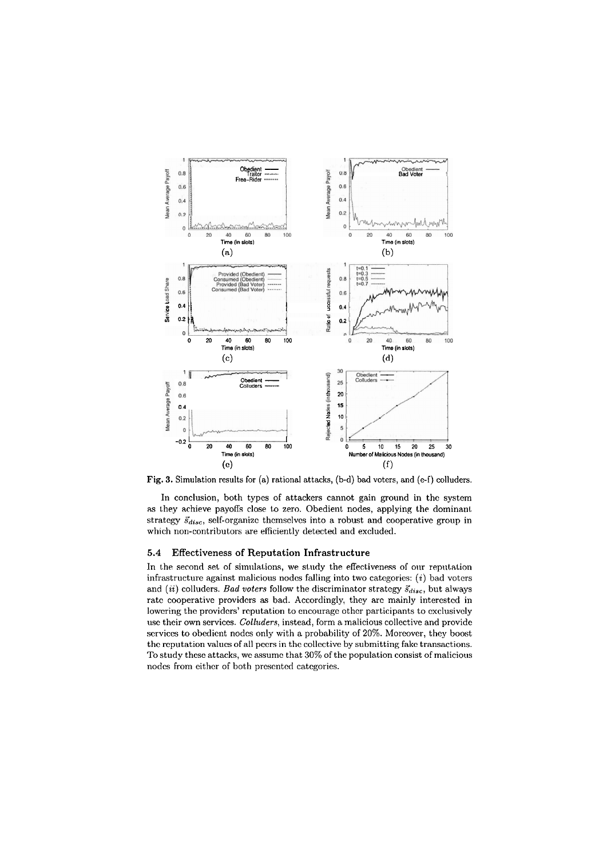

Fig. 3. Simulation results for (a) rational attacks, (b-d) bad voters, and (e-f) colluders.

In conclusion, both types of attackers cannot gain ground in the system as they achieve payoffs close to zero. Obedient nodes, applying the dominant strategy  $\vec{s}_{disc}$ , self-organize themselves into a robust and cooperative group in which non-contributors are efficiently detected and excluded.

# **5.4 Effectiveness of Reputation Infrastructure**

In the second set of simulations, we study the effectiveness of our reputation infrastructure against malicious nodes falling into two categories: (i) bad voters and *(ii)* colluders. *Bad voters* follow the discriminator strategy  $\vec{s}_{disc}$ , but always ratc cooperativc providcrs **as** bad. Accordingly, they arc mainly intercstcd in lowering the providers' reputation to encourage other participants to exclusively use their own services. *Colluders*, instead, form a malicious collective and provide services to obedient nodes only with a probability of 20%. Moreover, they boost thc rcputation valucs of all pccrs in thc collective by submitting fakc transactions. To study thcsc attacks, we assumc that **30%** of the population consist of malicious nodes from either of both presented categories.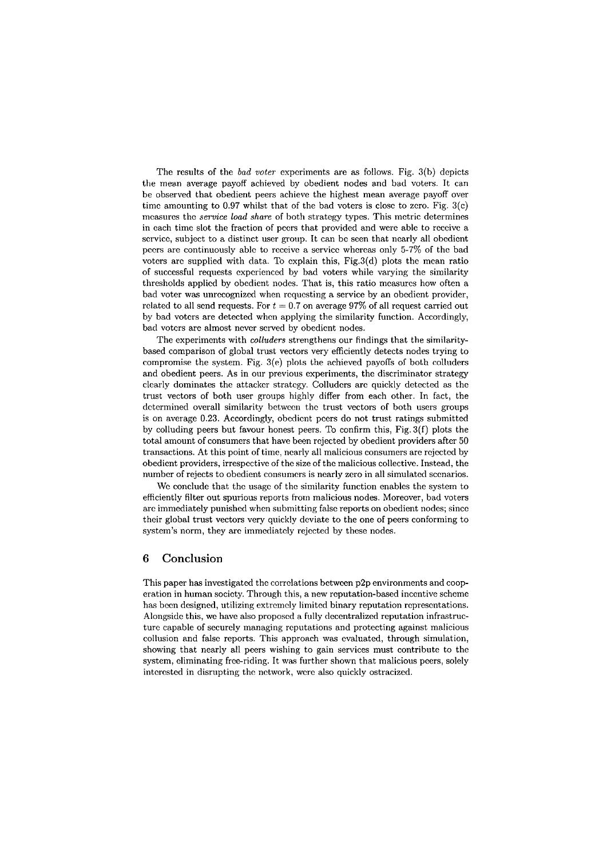The results of the *bad voter* experiments are as follows. Fig. 3(b) depicts the mean average payoff achieved by obedient nodes and bad voters. It can be observed that obedient peers achieve the highest mean average payoff over time amounting to 0.97 whilst that of the bad voters is close to zero. Fig.  $3(c)$ measures the *service load share* of both strategy types. This metric determines in each time slot the fraction of pecrs that provided and were able to reccive a scrvice, subject to a distinct user group. It can be seen that nearly all obedient pccrs are continuously ablc to receive a servicc whercas only 5-7% of thc bad voters arc supplied with data. To explain this,  $Fig.3(d)$  plots the mean ratio of succcssful requests cxpcricnced by bad voters while varying the similarity thresholds applicd by obcdient nodes. That is, this ratio mcasurcs how often a bad voter was unrccognized when rcqucsting a service by an obedicnt provider, related to all send requests. For  $t = 0.7$  on average 97% of all request carried out by bad voters are detected when applying the similarity function. Accordingly, bad votcrs are almost never served by obedient nodes.

The experimcnts with *colluders* strengthens our findings that the similaritybased comparison of global trust vectors very efficiently detects nodes trying to compromise the system. Fig.  $3(e)$  plots the achieved payoffs of both colluders and obedient peers. As in our previous experiments, the discriminator strategy clearly dominates the attacker strategy. Colluders are quickly detected as the trust vectors of both User groups highly differ from each other. In fact, the dctermined overall similarity between the trust vectors of both users groups is on averagc 0.23. Accordingly, obcdicnt pccrs do not trust ratings submitted by colluding peers but favour honest peers. To confirm this, Fig.  $3(f)$  plots the total amount of consumers that have been rejected by obedient providers after 50 transactions. At this point of time; nearly all malicious consumers are rcjcctcd by obedicnt providers, irrespcctivc of thc size of thc malicious collective. Instead, the number of rejects to obedient consumers is nearly zero in all simulated scenarios.

Wc conclude that thc usagc of the similarity function enables the system to efficiently filter out spurious reports from malicious nodes. Moreover, bad voters arc immcdiately punishcd when submitting falsc reports on obedient nodes; sincc their global trust vectors very quickly dcviate to the one of peers conforming to system's norm, they arc immediatcly rejccted by these nodes.

# **6 Conclusion**

This paper has investigated the correlations between p2p environments and cooperation in human socicty. Through this, a new rcputation-based inccntive schemc has been designed, utilizing extremely limited binary reputation representations. Alongside this, we have also proposed a fully decentralized reputation infrastructurc capable of securely managing rcputations and protccting against malicious collusion and false reports. This approach was evaluated, through simulation, showing that nearly all peers wishing to gain services must contribute to thc system, eliminating free-riding. It was further shown that malicious peers, solely intcrested in disrupting the network, were also quickly ostracized.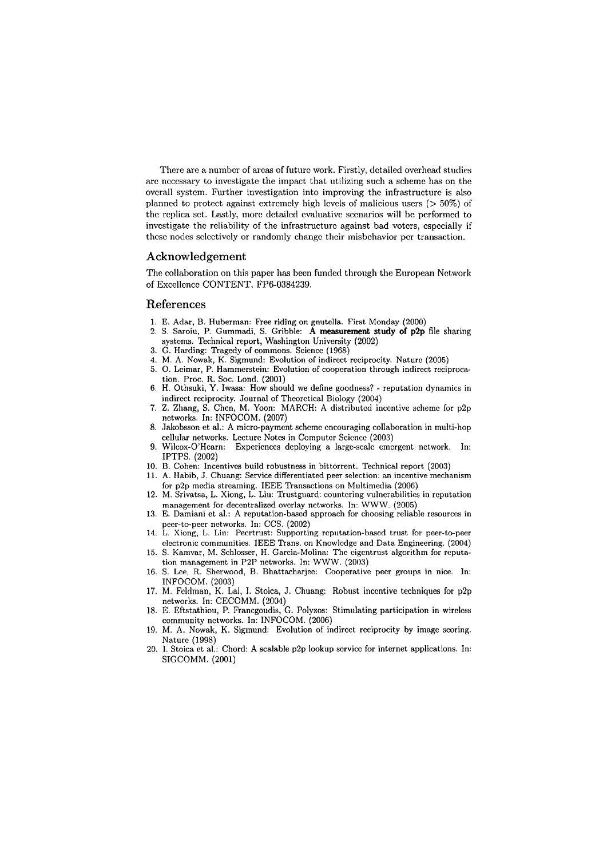There are a number of areas of future work. Firstly, detailed overhead studies arc ncccssary to invcstigate the impact that utilizing such a scheme has on thc overall system. Further investigation into improving the infrastructure is also planned to protect against extremely high levels of malicious users  $(> 50\%)$  of the replica set. Lastly, more detailed evaluative scenarios will be performed to invcstigate thc reliability of the infrastructurc against bad votcrs, cspccially if these nodes selectively or randomly change their misbchavior per transaction.

# **Acknowledgement**

The collaboration on this paper has been funded through the European Nctwork of Excellencc CONTENT, FP6-0384239.

# **References**

- 1. E. Adar, B. Huberman: Free riding on gnutclla. First Monday (2000)
- 2. S. Saroiu, P. Gummadi, S. Gribble: A measurement study of p2p file sharing systems. Technical report, Washington University (2002)
- 3. G. Harding: Tragedy of commons. Scicncc (1968)
- 4. M. A. Nowak, K. Sigmund: Evolution of indircct rcciprocity. Naturc (2005)
- 5. 0. Leimar, P. Hammerstein: Evolution of cooperation through indirect reciprocation. Proc. R. Soc. Lond. (2001)
- 6. H. Othsuki, Y. Iwasa: How should we define goodness? reputation dynamics in indircct rcciprocity. Journal of Theorctical Biology (2004)
- 7. 2. Zhang, S. Chen, M. Yoon: MARCH: A distributcd incentive schemc for p2p nctworks. In: INFOCOM. (2007)
- 8. Jakobsson et al.: A micro-payment scheme encouraging collaboration in multi-hop cellular networks. Lecture Notes in Computcr Scicncc (2003)
- Wilcox-O'Hearn: Experiences deploying a large-scale emergent network. In: IPTPS. (2002)
- 10. B. Cohen: Incentivcs build robustness in bittorrent. Technical report (2003)
- 11. A. Habib, J. Chuang: Service differentiated peer selection: an incentive mechanism for p2p media streaming. IEEE Transactions on Multimedia (2006)
- 12. M. Srivatsa, L. Xiong, L. Liu: Trustguard: countering vulnerabilities in reputation management for deccntralized ovcrlay networks. In: WWW. (2005)
- 13. E. Damiani ct al.: A reputation-bascd approach for choosing reliable resources in peer-to-peer networks. In: CCS. (2002)
- 14. L. Xiong, L. Liu: Pecrtrust: Supporting rcputation-bascd trust for peer-tepeer electronic communities. IEEE Trans. on Knowledge and Data Engineering. (2004)
- 15. S. Kamvar, M. Schlosser, H. Garcia-Molina: Thc cigcntrust algorithm for rcputation managcment in P2P networks. In: WWW. (2003)
- 16. S. Lce, R. Sherwood, B. Bhattacharjec: Cooperativc peer groups in nice. In: INFOCOM. (2003)
- 17. M. Fcldman, K. Lai, I. Stoica, J. Chuang: Robust inccntive techniques for p2p networks. In: CECOMM. (2004)
- 18. E. Eftstathiou, P. Francgoudis, G. Polyzos: Stimulating participation in wircless community nctworks. In: INFOCOM. (2006)
- 19. M. A. Nowak, K. Sigmund: Evolution of indirect reciprocity by image scoring. Naturc (1998)
- 20. 1. Stoica ct al.: Chord: A scalable p2p lookup scrvicc for internet applications. In: SIGCOMM. (2001)